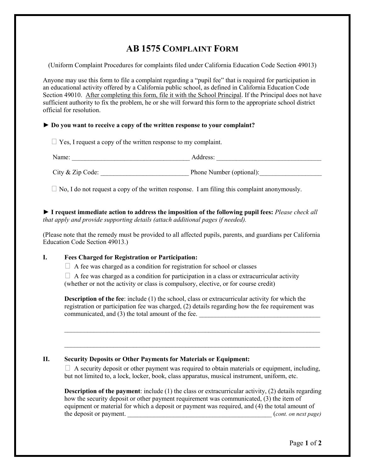## AB 1575 COMPLAINT FORM

(Uniform Complaint Procedures for complaints filed under California Education Code Section 49013)

Anyone may use this form to file a complaint regarding a "pupil fee" that is required for participation in an educational activity offered by a California public school, as defined in California Education Code Section 49010. After completing this form, file it with the School Principal. If the Principal does not have sufficient authority to fix the problem, he or she will forward this form to the appropriate school district official for resolution.

## ► Do you want to receive a copy of the written response to your complaint?

& Yes, I request a copy of the written response to my complaint.

Name: \_\_\_\_\_\_\_\_\_\_\_\_\_\_\_\_\_\_\_\_\_\_\_\_\_\_\_\_\_\_\_\_\_\_\_\_ Address: \_\_\_\_\_\_\_\_\_\_\_\_\_\_\_\_\_\_\_\_\_\_\_\_\_\_\_\_\_\_\_\_ City & Zip Code: Phone Number (optional):

& No, I do not request a copy of the written response. I am filing this complaint anonymously.

► I request immediate action to address the imposition of the following pupil fees: Please check all that apply and provide supporting details (attach additional pages if needed).

(Please note that the remedy must be provided to all affected pupils, parents, and guardians per California Education Code Section 49013.)

## I. Fees Charged for Registration or Participation:

& A fee was charged as a condition for registration for school or classes

& A fee was charged as a condition for participation in a class or extracurricular activity (whether or not the activity or class is compulsory, elective, or for course credit)

Description of the fee: include (1) the school, class or extracurricular activity for which the registration or participation fee was charged, (2) details regarding how the fee requirement was communicated, and (3) the total amount of the fee.

 $\_$ 

\_\_\_\_\_\_\_\_\_\_\_\_\_\_\_\_\_\_\_\_\_\_\_\_\_\_\_\_\_\_\_\_\_\_\_\_\_\_\_\_\_\_\_\_\_\_\_\_\_\_\_\_\_\_\_\_\_\_\_\_\_\_\_\_\_\_\_\_\_\_\_\_\_\_\_\_\_\_

## II. Security Deposits or Other Payments for Materials or Equipment:

& A security deposit or other payment was required to obtain materials or equipment, including, but not limited to, a lock, locker, book, class apparatus, musical instrument, uniform, etc.

Description of the payment: include (1) the class or extracurricular activity, (2) details regarding how the security deposit or other payment requirement was communicated, (3) the item of equipment or material for which a deposit or payment was required, and (4) the total amount of the deposit or payment.  $(cont. on next page)$